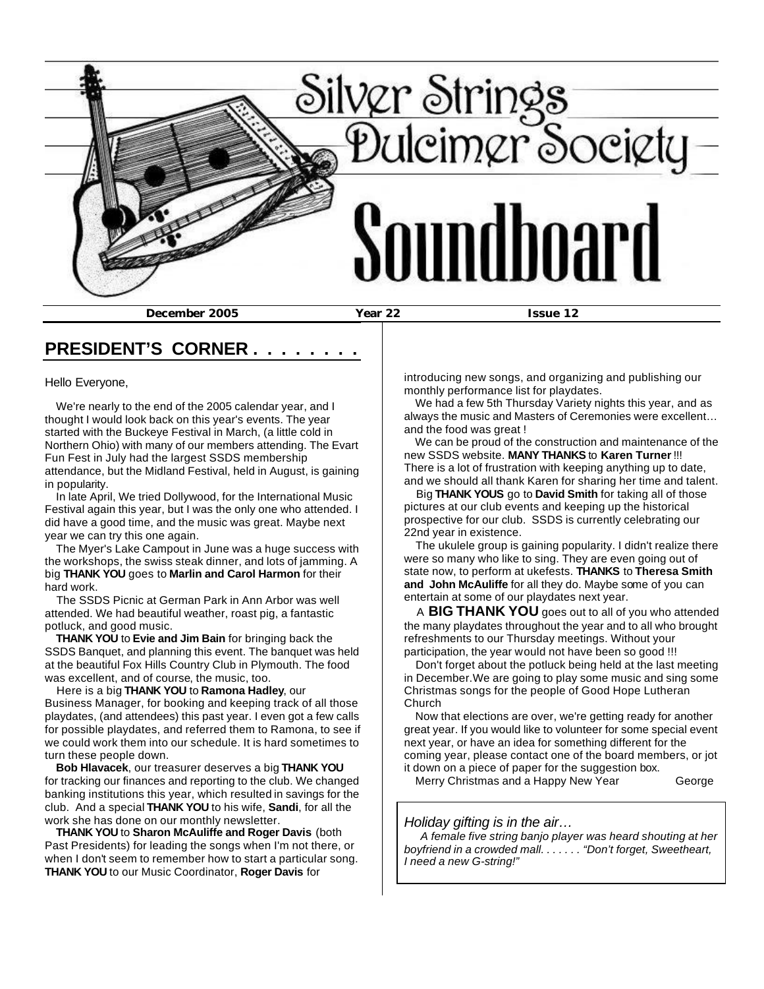

# **PRESIDENT'S CORNER . . . . . . . .**

Hello Everyone,

 We're nearly to the end of the 2005 calendar year, and I thought I would look back on this year's events. The year started with the Buckeye Festival in March, (a little cold in Northern Ohio) with many of our members attending. The Evart Fun Fest in July had the largest SSDS membership attendance, but the Midland Festival, held in August, is gaining in popularity.

 In late April, We tried Dollywood, for the International Music Festival again this year, but I was the only one who attended. I did have a good time, and the music was great. Maybe next year we can try this one again.

 The Myer's Lake Campout in June was a huge success with the workshops, the swiss steak dinner, and lots of jamming. A big **THANK YOU** goes to **Marlin and Carol Harmon** for their hard work.

 The SSDS Picnic at German Park in Ann Arbor was well attended. We had beautiful weather, roast pig, a fantastic potluck, and good music.

 **THANK YOU** to **Evie and Jim Bain** for bringing back the SSDS Banquet, and planning this event. The banquet was held at the beautiful Fox Hills Country Club in Plymouth. The food was excellent, and of course, the music, too.

 Here is a big **THANK YOU** to **Ramona Hadley**, our Business Manager, for booking and keeping track of all those playdates, (and attendees) this past year. I even got a few calls for possible playdates, and referred them to Ramona, to see if we could work them into our schedule. It is hard sometimes to turn these people down.

 **Bob Hlavacek**, our treasurer deserves a big **THANK YOU** for tracking our finances and reporting to the club. We changed banking institutions this year, which resulted in savings for the club. And a special **THANK YOU** to his wife, **Sandi**, for all the work she has done on our monthly newsletter.

 **THANK YOU** to **Sharon McAuliffe and Roger Davis** (both Past Presidents) for leading the songs when I'm not there, or when I don't seem to remember how to start a particular song. **THANK YOU** to our Music Coordinator, **Roger Davis** for

introducing new songs, and organizing and publishing our monthly performance list for playdates.

 We had a few 5th Thursday Variety nights this year, and as always the music and Masters of Ceremonies were excellent… and the food was great !

 We can be proud of the construction and maintenance of the new SSDS website. **MANY THANKS** to **Karen Turner** !!! There is a lot of frustration with keeping anything up to date, and we should all thank Karen for sharing her time and talent.

 Big **THANK YOUS** go to **David Smith** for taking all of those pictures at our club events and keeping up the historical prospective for our club. SSDS is currently celebrating our 22nd year in existence.

 The ukulele group is gaining popularity. I didn't realize there were so many who like to sing. They are even going out of state now, to perform at ukefests. **THANKS** to **Theresa Smith and John McAuliffe** for all they do. Maybe some of you can entertain at some of our playdates next year.

 A **BIG THANK YOU** goes out to all of you who attended the many playdates throughout the year and to all who brought refreshments to our Thursday meetings. Without your participation, the year would not have been so good !!!

 Don't forget about the potluck being held at the last meeting in December.We are going to play some music and sing some Christmas songs for the people of Good Hope Lutheran Church

 Now that elections are over, we're getting ready for another great year. If you would like to volunteer for some special event next year, or have an idea for something different for the coming year, please contact one of the board members, or jot it down on a piece of paper for the suggestion box.

Merry Christmas and a Happy New Year George

#### *Holiday gifting is in the air…*

 *A female five string banjo player was heard shouting at her boyfriend in a crowded mall. . . . . . . "Don't forget, Sweetheart, I need a new G-string!"*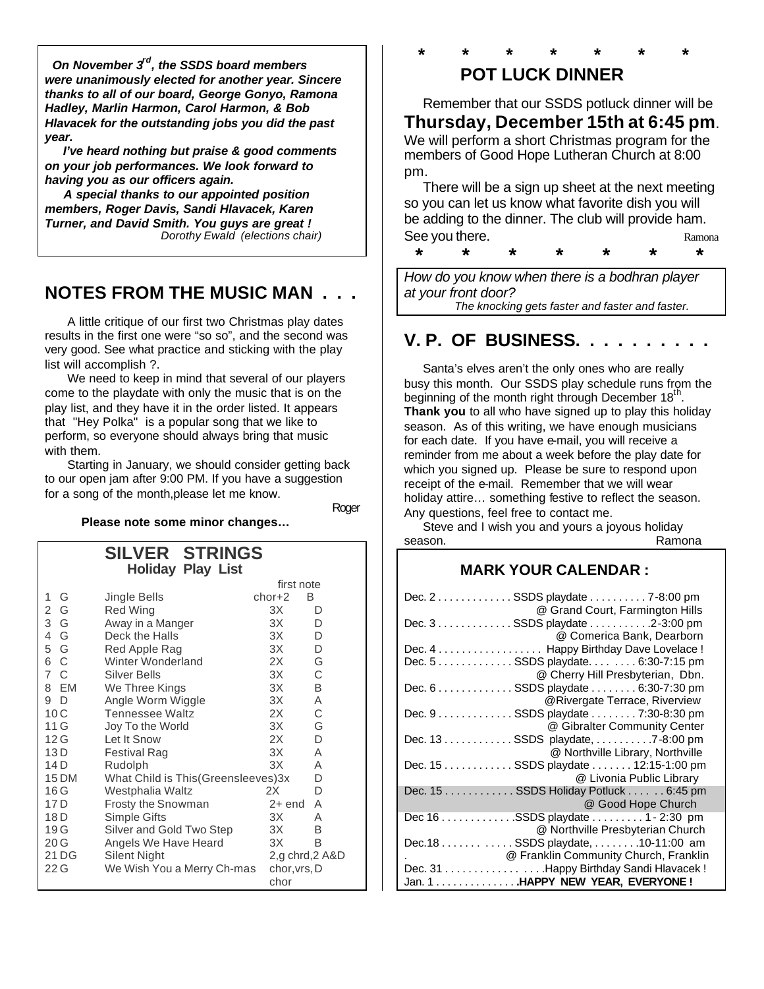*On November 3rd, the SSDS board members were unanimously elected for another year. Sincere thanks to all of our board, George Gonyo, Ramona Hadley, Marlin Harmon, Carol Harmon, & Bob Hlavacek for the outstanding jobs you did the past year.*

 *I've heard nothing but praise & good comments on your job performances. We look forward to having you as our officers again.*

 *A special thanks to our appointed position members, Roger Davis, Sandi Hlavacek, Karen Turner, and David Smith. You guys are great ! Dorothy Ewald (elections chair)*

# **NOTES FROM THE MUSIC MAN . . .**

 A little critique of our first two Christmas play dates results in the first one were "so so", and the second was very good. See what practice and sticking with the play list will accomplish ?.

 We need to keep in mind that several of our players come to the playdate with only the music that is on the play list, and they have it in the order listed. It appears that "Hey Polka" is a popular song that we like to perform, so everyone should always bring that music with them.

 Starting in January, we should consider getting back to our open jam after 9:00 PM. If you have a suggestion for a song of the month,please let me know.

restate the contract of the contract of the contract of the contract of the contract of the contract of the contract of the contract of the contract of the contract of the contract of the contract of the contract of the co

 **Please note some minor changes…**

|                       | <b>SILVER STRINGS</b>                |                 |   |  |
|-----------------------|--------------------------------------|-----------------|---|--|
|                       | <b>Holiday Play List</b>             |                 |   |  |
|                       |                                      | first note      |   |  |
| 1<br>G                | Jingle Bells                         | $chor+2$        | B |  |
| G<br>2                | Red Wing                             | 3X              | D |  |
| 3 G                   | Away in a Manger                     | 3X              | D |  |
| 4 G                   | Deck the Halls                       | 3X              | D |  |
| 5 G                   | Red Apple Rag                        | 3X              | D |  |
| 6 C                   | Winter Wonderland                    | 2X              | G |  |
| $\overline{7}$<br>- C | Silver Bells                         | 3X              | C |  |
| 8 EM                  | We Three Kings                       | 3X              | B |  |
| - D<br>9              | Angle Worm Wiggle                    | 3X              | A |  |
| 10C                   | <b>Tennessee Waltz</b>               | 2X              | C |  |
| 11 G                  | Joy To the World                     | 3X              | G |  |
| 12G                   | Let It Snow                          | 2X              | D |  |
| 13 D                  | Festival Rag                         | 3X              | Α |  |
| 14 D                  | Rudolph                              | 3X              | Α |  |
| 15 DM                 | What Child is This (Greensleeves) 3x |                 | D |  |
| 16 G                  | Westphalia Waltz                     | 2X              | D |  |
| 17 <sub>D</sub>       | Frosty the Snowman                   | 2+ end          | Α |  |
| 18 D                  | Simple Gifts                         | 3X              | Α |  |
| 19G                   | Silver and Gold Two Step             | 3X              | B |  |
| 20G                   | Angels We Have Heard                 | 3X              | B |  |
| 21 DG                 | Silent Night                         | 2,g chrd, 2 A&D |   |  |
| 22G                   | We Wish You a Merry Ch-mas           | chor, vrs, D    |   |  |
|                       |                                      | chor            |   |  |

## **\* \* \* \* \* \* \* POT LUCK DINNER**

 Remember that our SSDS potluck dinner will be **Thursday, December 15th at 6:45 pm**. We will perform a short Christmas program for the members of Good Hope Lutheran Church at 8:00

pm. There will be a sign up sheet at the next meeting so you can let us know what favorite dish you will be adding to the dinner. The club will provide ham. See you there. The set of the set of the set of the set of the set of the set of the set of the set of the set of the set of the set of the set of the set of the set of the set of the set of the set of the set of the set o

 **\* \* \* \* \* \* \***

*How do you know when there is a bodhran player at your front door? The knocking gets faster and faster and faster.*

# **V. P. OF BUSINESS. .**

 Santa's elves aren't the only ones who are really busy this month. Our SSDS play schedule runs from the beginning of the month right through December  $18^{th}$ . **Thank you** to all who have signed up to play this holiday season. As of this writing, we have enough musicians for each date. If you have e-mail, you will receive a reminder from me about a week before the play date for which you signed up. Please be sure to respond upon receipt of the e-mail. Remember that we will wear holiday attire… something festive to reflect the season. Any questions, feel free to contact me.

 Steve and I wish you and yours a joyous holiday season. **Ramona** 

## **MARK YOUR CALENDAR :**

| Dec. 2 SSDS playdate 7-8:00 pm                                                                 |
|------------------------------------------------------------------------------------------------|
| @ Grand Court, Farmington Hills<br>Dec. 3 SSDS playdate 2-3:00 pm<br>@ Comerica Bank, Dearborn |
| Dec. 4 Happy Birthday Dave Lovelace !                                                          |
| Dec. 5 SSDS playdate. 6:30-7:15 pm                                                             |
| @ Cherry Hill Presbyterian, Dbn.                                                               |
| Dec. 6 SSDS playdate 6:30-7:30 pm                                                              |
| @Rivergate Terrace, Riverview                                                                  |
| Dec. 9 SSDS playdate 7:30-8:30 pm                                                              |
| @ Gibralter Community Center                                                                   |
| Dec. 13 SSDS playdate, 7-8:00 pm                                                               |
| @ Northville Library, Northville                                                               |
| Dec. 15 SSDS playdate 12:15-1:00 pm                                                            |
| @ Livonia Public Library                                                                       |
| Dec. 15 SSDS Holiday Potluck 6:45 pm                                                           |
| @ Good Hope Church                                                                             |
| Dec 16 SSDS playdate 1 - 2:30 pm                                                               |
| @ Northville Presbyterian Church                                                               |
| Dec.18 SSDS playdate, 10-11:00 am                                                              |
| @ Franklin Community Church, Franklin                                                          |
| Dec. 31 Happy Birthday Sandi Hlavacek !                                                        |
| Jan. 1 HAPPY NEW YEAR, EVERYONE !                                                              |